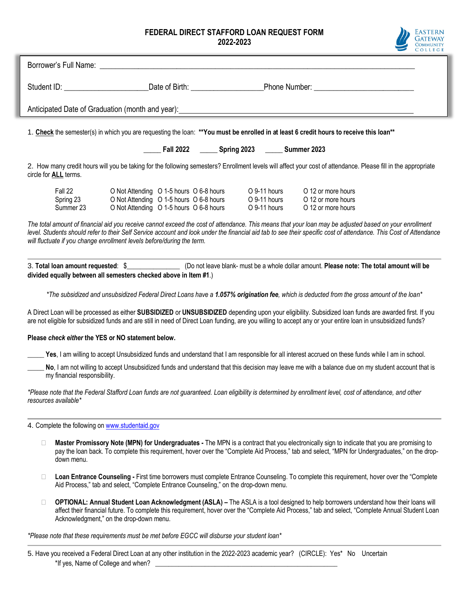## **FEDERAL DIRECT STAFFORD LOAN REQUEST FORM 2022-2023**



|                                                                                                                                                                                                                                                                                                                                                                                                       | COLLEGE |
|-------------------------------------------------------------------------------------------------------------------------------------------------------------------------------------------------------------------------------------------------------------------------------------------------------------------------------------------------------------------------------------------------------|---------|
| Borrower's Full Name: The Contract of the Contract of the Contract of the Contract of the Contract of the Contract of the Contract of the Contract of the Contract of the Contract of the Contract of the Contract of the Cont                                                                                                                                                                        |         |
| Student ID: \\connectlential Connect Lines Connect Lines Connect Lines Connect Lines Connect Lines Connect Lin                                                                                                                                                                                                                                                                                        |         |
|                                                                                                                                                                                                                                                                                                                                                                                                       |         |
| 1. Check the semester(s) in which you are requesting the loan: **You must be enrolled in at least 6 credit hours to receive this loan**                                                                                                                                                                                                                                                               |         |
| _____ Fall 2022 _______ Spring 2023 ______ Summer 2023                                                                                                                                                                                                                                                                                                                                                |         |
| 2. How many credit hours will you be taking for the following semesters? Enrollment levels will affect your cost of attendance. Please fill in the appropriate<br>circle for ALL terms.                                                                                                                                                                                                               |         |
| Fall 22<br>O Not Attending O 1-5 hours O 6-8 hours<br>O 9-11 hours<br>O 12 or more hours                                                                                                                                                                                                                                                                                                              |         |
| O Not Attending O 1-5 hours O 6-8 hours<br>O 9-11 hours<br>O 12 or more hours<br>Spring 23                                                                                                                                                                                                                                                                                                            |         |
| Summer 23<br>O Not Attending O 1-5 hours O 6-8 hours<br>O 9-11 hours<br>O 12 or more hours                                                                                                                                                                                                                                                                                                            |         |
| The total amount of financial aid you receive cannot exceed the cost of attendance. This means that your loan may be adjusted based on your enrollment<br>level. Students should refer to their Self Service account and look under the financial aid tab to see their specific cost of attendance. This Cost of Attendance<br>will fluctuate if you change enrollment levels before/during the term. |         |
| 3. Total loan amount requested: \$<br>(Do not leave blank-must be a whole dollar amount. Please note: The total amount of the total amount will be<br>divided equally between all semesters checked above in Item #1.)                                                                                                                                                                                |         |
| *The subsidized and unsubsidized Federal Direct Loans have a 1.057% origination fee, which is deducted from the gross amount of the loan*                                                                                                                                                                                                                                                             |         |
| A Direct Loan will be processed as either SUBSIDIZED or UNSUBSIDIZED depending upon your eligibility. Subsidized loan funds are awarded first. If you<br>are not eligible for subsidized funds and are still in need of Direct Loan funding, are you willing to accept any or your entire loan in unsubsidized funds?                                                                                 |         |
| Please check either the YES or NO statement below.                                                                                                                                                                                                                                                                                                                                                    |         |
| Yes, I am willing to accept Unsubsidized funds and understand that I am responsible for all interest accrued on these funds while I am in school.                                                                                                                                                                                                                                                     |         |
| No, I am not willing to accept Unsubsidized funds and understand that this decision may leave me with a balance due on my student account that is<br>my financial responsibility.                                                                                                                                                                                                                     |         |
| *Please note that the Federal Stafford Loan funds are not guaranteed. Loan eligibility is determined by enrollment level, cost of attendance, and other<br>resources available*                                                                                                                                                                                                                       |         |

4. Complete the following o[n www.studentaid.gov](http://www.studentaid.gov/)

- □ **Master Promissory Note (MPN) for Undergraduates** The MPN is a contract that you electronically sign to indicate that you are promising to pay the loan back. To complete this requirement, hover over the "Complete Aid Process," tab and select, "MPN for Undergraduates," on the dropdown menu.
- **Loan Entrance Counseling -** First time borrowers must complete Entrance Counseling. To complete this requirement, hover over the "Complete Aid Process," tab and select, "Complete Entrance Counseling," on the drop-down menu.
- **OPTIONAL: Annual Student Loan Acknowledgment (ASLA) –** The ASLA is a tool designed to help borrowers understand how their loans will affect their financial future. To complete this requirement, hover over the "Complete Aid Process," tab and select, "Complete Annual Student Loan Acknowledgment," on the drop-down menu.

*\*Please note that these requirements must be met before EGCC will disburse your student loan\**

5. Have you received a Federal Direct Loan at any other institution in the 2022-2023 academic year? (CIRCLE): Yes\* No Uncertain \*If yes, Name of College and when?